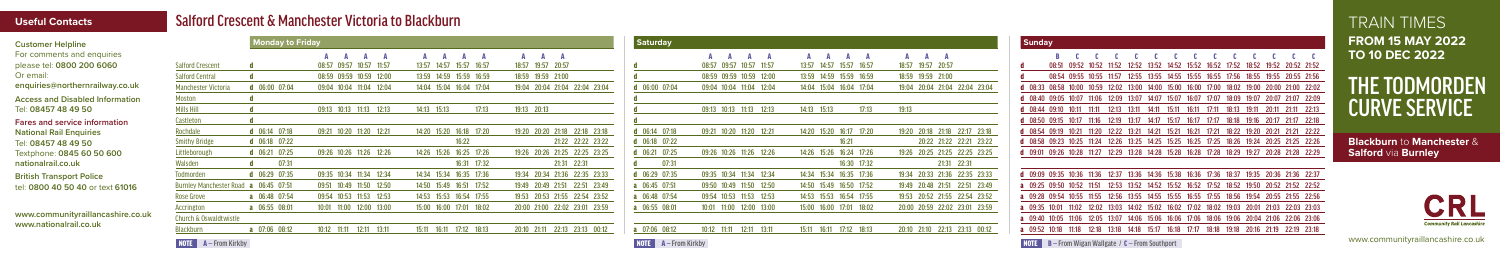TRAIN TIMES **FROM 15 MAY 2022 TO 10 DEC 2022**

# THE TODMORDEN CURVE SERVICE

www.communityraillancashire.co.uk

### Salford Crescent & Manchester Victoria to Blackburn

#### **Useful Contacts**

| <b>Customer Helpline</b>                                                                                                                  |                                       | <b>Monday to Friday</b>  |                                    |                         |                                  | <b>Saturday</b>           |                                                 |                                | <b>Sunday</b>                 |                                                                                              |
|-------------------------------------------------------------------------------------------------------------------------------------------|---------------------------------------|--------------------------|------------------------------------|-------------------------|----------------------------------|---------------------------|-------------------------------------------------|--------------------------------|-------------------------------|----------------------------------------------------------------------------------------------|
| For comments and enquiries<br>please tel: 0800 200 6060                                                                                   | <b>Salford Crescent</b>               |                          | 08:57 09:57 10:57 11:57            | 13:57 14:57 15:57 16:57 | A A A<br>18:57 19:57 20:57       |                           | $\overline{A}$<br>AA<br>08:57 09:57 10:57 11:57 | 13:57 14:57 15:57 16:57        | AA<br>18:57 19:57 20:57       | 08:51 09:52 10:52 11:52 12:52 13:52 14:52 15:52 16:52 17:52 18:52 19:52 20:52 21:52          |
| Or email:<br>enquiries@northernrailway.co.uk                                                                                              | <b>Salford Central</b>                |                          | 08:59 09:59 10:59 12:00            | 13:59 14:59 15:59 16:59 | 18:59 19:59 21:00                |                           | 08:59 09:59 10:59 12:00                         | 13:59 14:59 15:59 16:59        | 18:59 19:59 21:00             | 08:54 09:55 10:55 11:57 12:55 13:55 14:55 15:55 16:55 17:56 18:55 19:55 20:55 21:56          |
|                                                                                                                                           | <b>Manchester Victoria</b>            | 06:00 07:04              | 09:04 10:04 11:04 12:04            | 14:04 15:04 16:04 17:04 | 19:04 20:04 21:04 22:04 23:04    | $d$ 06:00 07:04           | 11:04 12:04<br>09:04 10:04                      | 14:04 15:04 16:04 17:04        | 19:04 20:04 21:04 22:04 23:04 | d 08:33 08:58 10:00 10:59 12:02 13:00 14:00 15:00 16:00 17:00 18:02 19:00 20:00 21:00 22:02  |
| <b>Access and Disabled Information</b><br>Tel: 08457 48 49 50                                                                             | Moston                                |                          |                                    |                         |                                  |                           |                                                 |                                |                               | d 08:40 09:05 10:07 11:06 12:09 13:07 14:07 15:07 16:07 17:07 18:09 19:07 20:07 21:07 22:09  |
|                                                                                                                                           | <b>Mills Hil</b>                      |                          | 09:13 10:13 11:13 12:13            | 14:13 15:13<br>17:13    | 19:13 20:13                      |                           | 09:13 10:13 11:13 12:13                         | 14:13 15:13<br>17:13           | 19:13                         | 08:44 09:10 10:11 11:11 12:13 13:11 14:11 15:11 16:11<br>17:11 18:13 19:11 20:11 21:11 22:13 |
| Fares and service information<br><b>National Rail Enquiries</b><br>Tel: 08457 48 49 50<br>Textphone: 0845 60 50 600<br>nationalrail.co.uk | Castleton                             |                          |                                    |                         |                                  |                           |                                                 |                                |                               | 08:50 09:15 10:17 11:16 12:19 13:17 14:17 15:17 16:17 17:17 18:18 19:16 20:17 21:17 22:18    |
|                                                                                                                                           | Rochdale                              | d $06:14$ 07:18          | 09:21 10:20 11:20 12:21            | 14:20 15:20 16:18 17:20 | 19:20 20:20 21:18 22:18 23:18    | $d$ 06:14 07:18           | 09:21 10:20<br>$11:20$ $12:21$                  | 14:20 15:20 16:17 17:20        | 19:20 20:18 21:18 22:17 23:18 | d 08:54 09:19 10:21 11:20 12:22 13:21 14:21 15:21 16:21 17:21 18:22 19:20 20:21 21:21 22:22  |
|                                                                                                                                           | <b>Smithy Bridge</b>                  | <b>d</b> $06:18$ $07:22$ |                                    | 16:22                   | 21:22 22:22 23:22                | d $06:18$ 07:22           |                                                 | 16:21                          | 20:22 21:22 22:21 23:22       | d 08:58 09:23 10:25 11:24 12:26 13:25 14:25 15:25 16:25 17:25 18:26 19:24 20:25 21:25 22:26  |
|                                                                                                                                           | Littleborough                         | $d$ 06:21 07:25          | 09:26 10:26 11:26 12:26            | 14:26 15:26 16:25 17:26 | 19:26 20:26 21:25 22:25 23:25    | $d$ 06:21 07:25           | 09:26 10:26 11:26 12:26                         | 14:26 15:26 16:24 17:26        | 19:26 20:25 21:25 22:25 23:25 | d 09:01 09:26 10:28 11:27 12:29 13:28 14:28 15:28 16:28 17:28 18:29 19:27 20:28 21:28 22:29  |
|                                                                                                                                           | Walsden                               | 07:31                    |                                    | 16:31 17:32             | $21:31$ $22:31$                  | 07:3                      |                                                 | 16:30 17:32                    | 21:31 22:31                   |                                                                                              |
| <b>British Transport Police</b><br>tel: 0800 40 50 40 or text 61016                                                                       | Todmorden                             | 106:2907:35              | 09:35 10:34 11:34 12:34            | 14:34 15:34 16:35 17:36 | 19:34 20:34 21:36 22:35 23:33    | d $06:29$ 07:35           | 09:35 10:34 11:34 12:34                         | 14:34 15:34 16:35 17:36        | 19:34 20:33 21:36 22:35 23:33 | d 09:09 09:35 10:36 11:36 12:37 13:36 14:36 15:38 16:36 17:36 18:37 19:35 20:36 21:36 22:37  |
|                                                                                                                                           | Burnley Manchester Road a 06:45 07:51 |                          | 09:51 10:49 11:50 12:50            | 14:50 15:49 16:51 17:52 | 19:49 20:49 21:51 22:51 23:49    | a 06:45 07:51             | 09:50 10:49 11:50 12:50                         | 14:50 15:49 16:50 17:52        | 19:49 20:48 21:51 22:51 23:49 | a 09:25 09:50 10:52 11:51 12:53 13:52 14:52 15:52 16:52 17:52 18:52 19:50 20:52 21:52 22:52  |
|                                                                                                                                           | <b>Rose Grove</b>                     | a 06:48 07:54            | 09:54 10:53 11:53 12:53            | 14:53 15:53 16:54 17:55 | 19:53 20:53 21:55 22:54 23:52    | a 06:48 07:54             | 09:54 10:53 11:53 12:53                         | 14:53 15:53 16:54 17:55        | 19:53 20:52 21:55 22:54 23:52 | a 09:28 09:54 10:55 11:55 12:56 13:55 14:55 15:55 16:55 17:55 18:56 19:54 20:55 21:55 22:56  |
| www.communityraillancashire.co.uk<br>www.nationalrail.co.uk                                                                               | Accrington                            | a 06:55 08:01            | 10:01 11:00 12:00 13:00            | 15:00 16:00 17:01 18:02 | 20:00 21:00 22:02 23:01 23:59    | a 06:55 08:01             | 10:01 11:00 12:00 13:00                         | 15:00 16:00 17:01 18:02        | 20:00 20:59 22:02 23:01 23:59 | a 09:35 10:01 11:02 12:02 13:03 14:02 15:02 16:02 17:02 18:02 19:03 20:01 21:03 22:03 23:03  |
|                                                                                                                                           | Church & Oswaldtwistle                |                          |                                    |                         |                                  |                           |                                                 |                                |                               | a 09:40 10:05 11:06 12:05 13:07 14:06 15:06 16:06 17:06 18:06 19:06 20:04 21:06 22:06 23:06  |
|                                                                                                                                           | Blackburr                             | a 07:06 08:12            | $10:12$ $11:11$<br>$12:11$ $13:11$ | 15:11 16:11 17:12 18:13 | 22:13 23:13 00:12<br>20:10 21:11 | 07:06 08:12               | 10:12<br>11:11<br>$12:11$ $13:11$               | 15:11 16:11<br>$17:12$ $18:13$ | 20:10 21:10 22:13 23:13 00:12 | a 09:52 10:18 11:18 12:18 13:18 14:18 15:17 16:18 17:17 18:18 19:18 20:16 21:19 22:19 23:18  |
|                                                                                                                                           | $A -$ From Kirkby<br>NOTE             |                          |                                    |                         |                                  | $A -$ From Kirkby<br>NOTE |                                                 |                                |                               | <b>NOTE</b> $B$ – From Wigan Wallgate / $C$ – From Southport                                 |

**Blackburn** to **Manchester**  & **Salford** via **Burnley**





**NOTE**  $A -$  From Kirkby